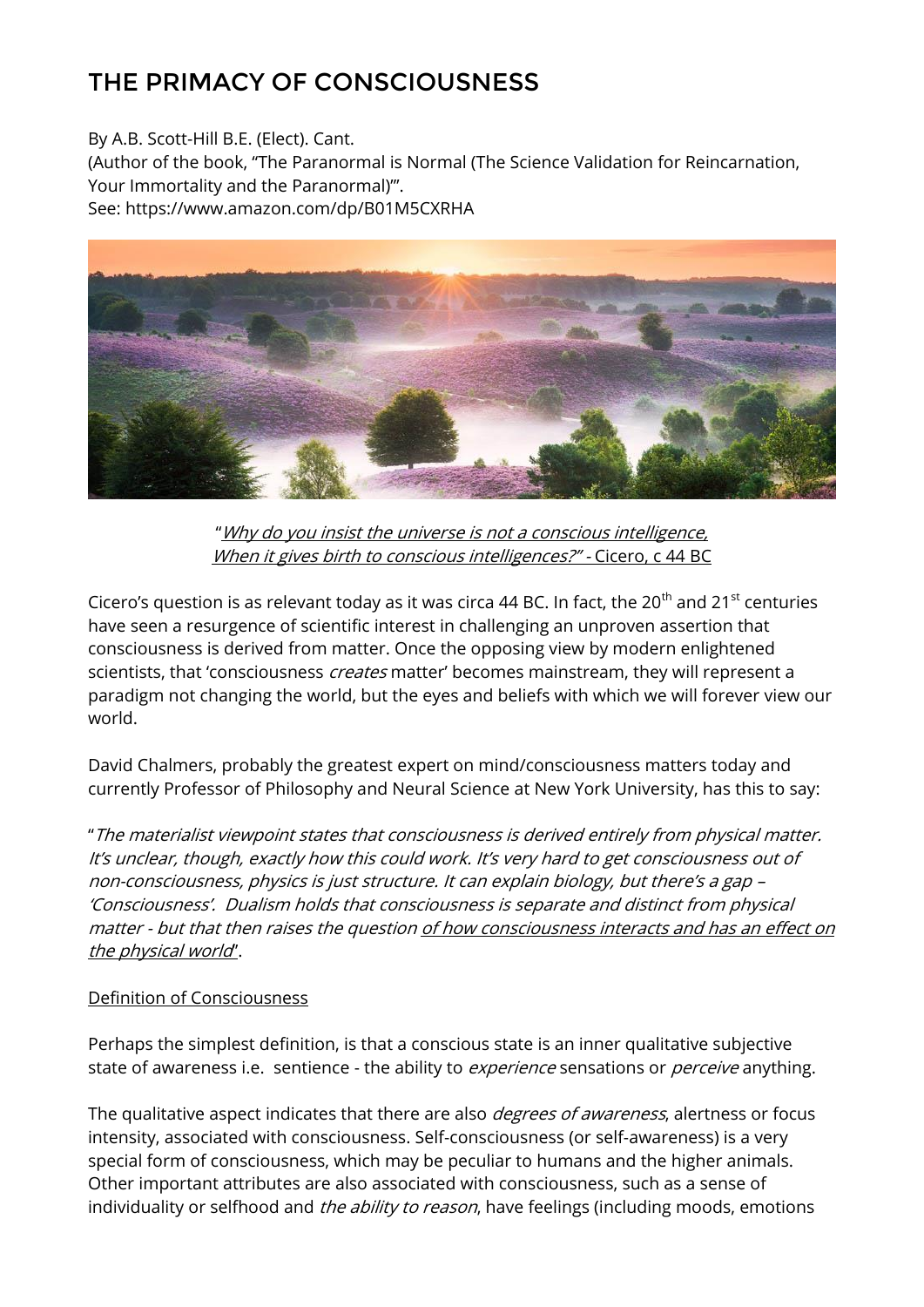## THE PRIMACY OF CONSCIOUSNESS

By A.B. Scott-Hill B.E. (Elect). Cant.

(Author of the book, "The Paranormal is Normal (The Science Validation for Reincarnation, Your Immortality and the Paranormal)"'.

See: https://www.amazon.com/dp/B01M5CXRHA



"Why do you insist the universe is not a conscious intelligence, When it gives birth to conscious intelligences?" - Cicero, c 44 BC

Cicero's question is as relevant today as it was circa 44 BC. In fact, the 20<sup>th</sup> and 21<sup>st</sup> centuries have seen a resurgence of scientific interest in challenging an unproven assertion that consciousness is derived from matter. Once the opposing view by modern enlightened scientists, that 'consciousness *creates* matter' becomes mainstream, they will represent a paradigm not changing the world, but the eyes and beliefs with which we will forever view our world.

David Chalmers, probably the greatest expert on mind/consciousness matters today and currently Professor of Philosophy and Neural Science at New York University, has this to say:

"The materialist viewpoint states that consciousness is derived entirely from physical matter. It's unclear, though, exactly how this could work. It's very hard to get consciousness out of non-consciousness, physics is just structure. It can explain biology, but there's a gap – 'Consciousness'. Dualism holds that consciousness is separate and distinct from physical matter - but that then raises the question of how consciousness interacts and has an effect on the physical world".

## Definition of Consciousness

Perhaps the simplest definition, is that a conscious state is an inner qualitative subjective state of awareness i.e. sentience - the ability to *experience* sensations or *perceive* anything.

The qualitative aspect indicates that there are also *degrees of awareness*, alertness or focus intensity, associated with consciousness. Self-consciousness (or self-awareness) is a very special form of consciousness, which may be peculiar to humans and the higher animals. Other important attributes are also associated with consciousness, such as a sense of individuality or selfhood and *the ability to reason*, have feelings (including moods, emotions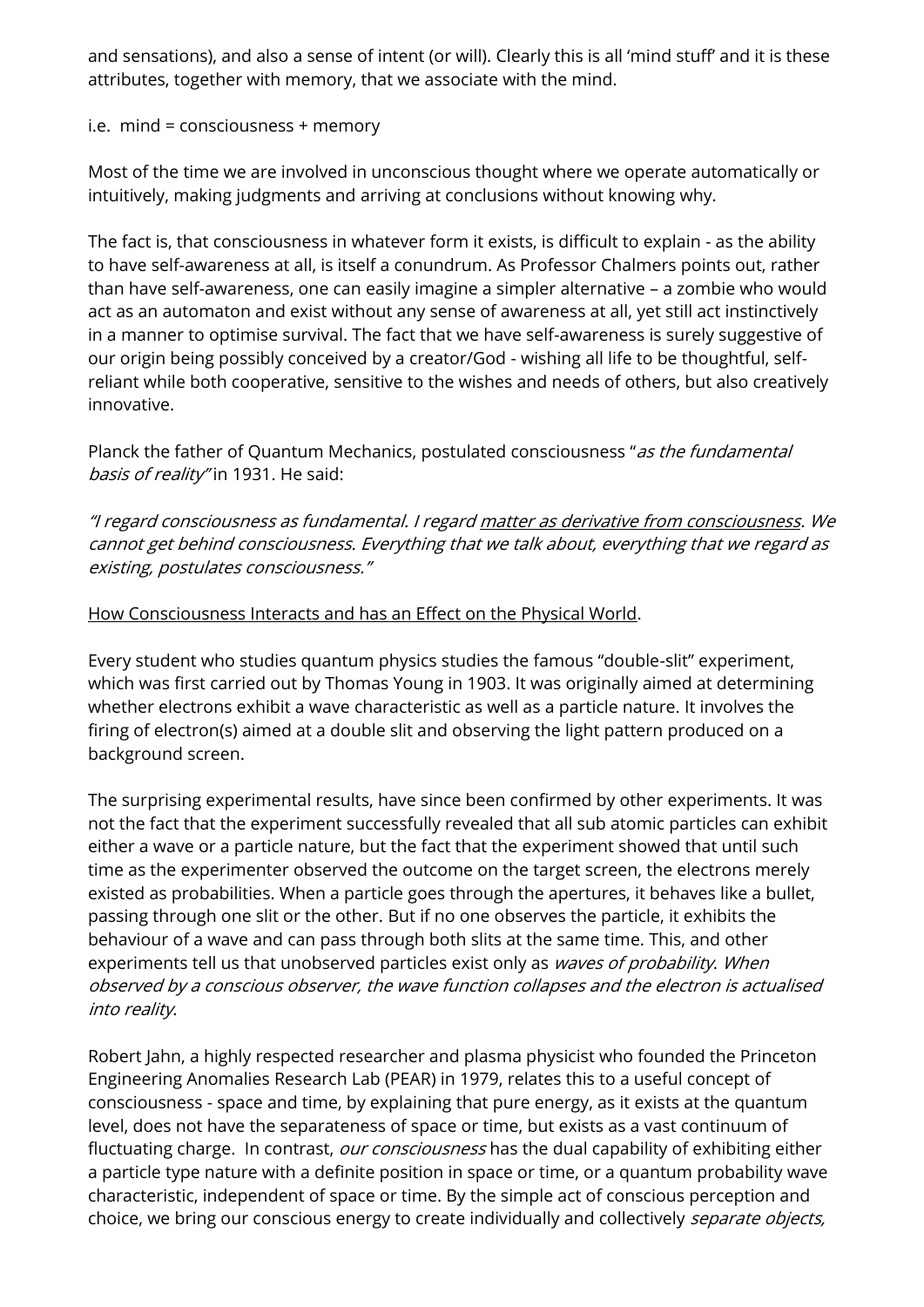and sensations), and also a sense of intent (or will). Clearly this is all 'mind stuff' and it is these attributes, together with memory, that we associate with the mind.

i.e. mind = consciousness + memory

Most of the time we are involved in unconscious thought where we operate automatically or intuitively, making judgments and arriving at conclusions without knowing why.

The fact is, that consciousness in whatever form it exists, is difficult to explain - as the ability to have self-awareness at all, is itself a conundrum. As Professor Chalmers points out, rather than have self-awareness, one can easily imagine a simpler alternative – a zombie who would act as an automaton and exist without any sense of awareness at all, yet still act instinctively in a manner to optimise survival. The fact that we have self-awareness is surely suggestive of our origin being possibly conceived by a creator/God - wishing all life to be thoughtful, selfreliant while both cooperative, sensitive to the wishes and needs of others, but also creatively innovative.

Planck the father of Quantum Mechanics, postulated consciousness "as the fundamental basis of reality" in 1931. He said:

"I regard consciousness as fundamental. I regard matter as derivative from consciousness. We cannot get behind consciousness. Everything that we talk about, everything that we regard as existing, postulates consciousness."

## How Consciousness Interacts and has an Effect on the Physical World.

Every student who studies quantum physics studies the famous "double-slit" experiment, which was first carried out by Thomas Young in 1903. It was originally aimed at determining whether electrons exhibit a wave characteristic as well as a particle nature. It involves the firing of electron(s) aimed at a double slit and observing the light pattern produced on a background screen.

The surprising experimental results, have since been confirmed by other experiments. It was not the fact that the experiment successfully revealed that all sub atomic particles can exhibit either a wave or a particle nature, but the fact that the experiment showed that until such time as the experimenter observed the outcome on the target screen, the electrons merely existed as probabilities. When a particle goes through the apertures, it behaves like a bullet, passing through one slit or the other. But if no one observes the particle, it exhibits the behaviour of a wave and can pass through both slits at the same time. This, and other experiments tell us that unobserved particles exist only as waves of probability. When observed by a conscious observer, the wave function collapses and the electron is actualised into reality.

Robert Jahn, a highly respected researcher and plasma physicist who founded the Princeton Engineering Anomalies Research Lab (PEAR) in 1979, relates this to a useful concept of consciousness - space and time, by explaining that pure energy, as it exists at the quantum level, does not have the separateness of space or time, but exists as a vast continuum of fluctuating charge. In contrast, our consciousness has the dual capability of exhibiting either a particle type nature with a definite position in space or time, or a quantum probability wave characteristic, independent of space or time. By the simple act of conscious perception and choice, we bring our conscious energy to create individually and collectively *separate objects*,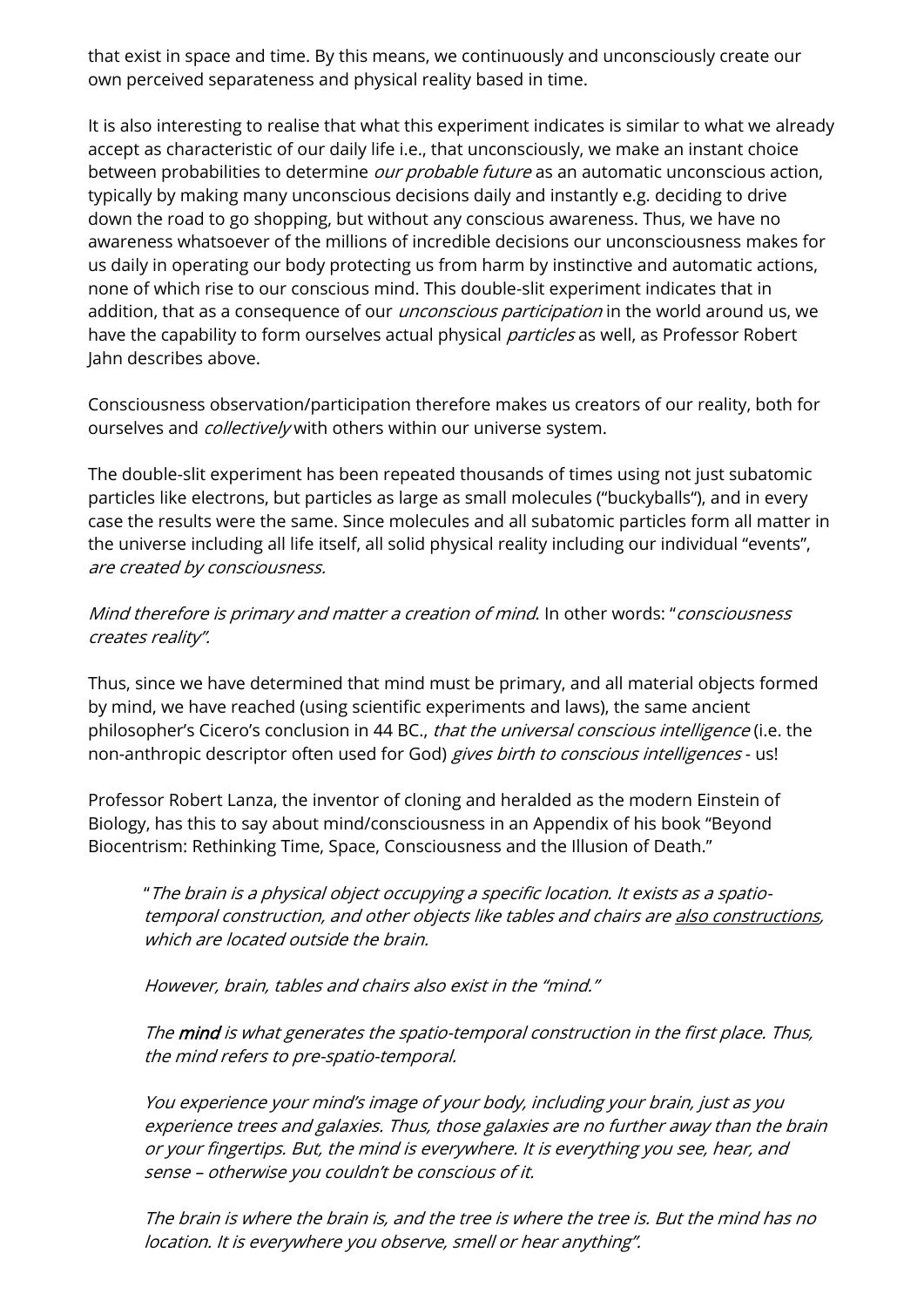that exist in space and time. By this means, we continuously and unconsciously create our own perceived separateness and physical reality based in time.

It is also interesting to realise that what this experiment indicates is similar to what we already accept as characteristic of our daily life i.e., that unconsciously, we make an instant choice between probabilities to determine *our probable future* as an automatic unconscious action, typically by making many unconscious decisions daily and instantly e.g. deciding to drive down the road to go shopping, but without any conscious awareness. Thus, we have no awareness whatsoever of the millions of incredible decisions our unconsciousness makes for us daily in operating our body protecting us from harm by instinctive and automatic actions, none of which rise to our conscious mind. This double-slit experiment indicates that in addition, that as a consequence of our *unconscious participation* in the world around us, we have the capability to form ourselves actual physical *particles* as well, as Professor Robert Jahn describes above.

Consciousness observation/participation therefore makes us creators of our reality, both for ourselves and *collectively* with others within our universe system.

The double-slit experiment has been repeated thousands of times using not just subatomic particles like electrons, but particles as large as small molecules ("buckyballs"), and in every case the results were the same. Since molecules and all subatomic particles form all matter in the universe including all life itself, all solid physical reality including our individual "events", are created by consciousness.

## Mind therefore is primary and matter a creation of mind. In other words: "consciousness creates reality".

Thus, since we have determined that mind must be primary, and all material objects formed by mind, we have reached (using scientific experiments and laws), the same ancient philosopher's Cicero's conclusion in 44 BC., that the universal conscious intelligence (i.e. the non-anthropic descriptor often used for God) gives birth to conscious intelligences - us!

Professor Robert Lanza, the inventor of cloning and heralded as the modern Einstein of Biology, has this to say about mind/consciousness in an Appendix of his book "Beyond Biocentrism: Rethinking Time, Space, Consciousness and the Illusion of Death."

"The brain is a physical object occupying a specific location. It exists as a spatiotemporal construction, and other objects like tables and chairs are also constructions, which are located outside the brain.

However, brain, tables and chairs also exist in the "mind."

The mind is what generates the spatio-temporal construction in the first place. Thus, the mind refers to pre-spatio-temporal.

You experience your mind's image of your body, including your brain, just as you experience trees and galaxies. Thus, those galaxies are no further away than the brain or your fingertips. But, the mind is everywhere. It is everything you see, hear, and sense – otherwise you couldn't be conscious of it.

The brain is where the brain is, and the tree is where the tree is. But the mind has no location. It is everywhere you observe, smell or hear anything".